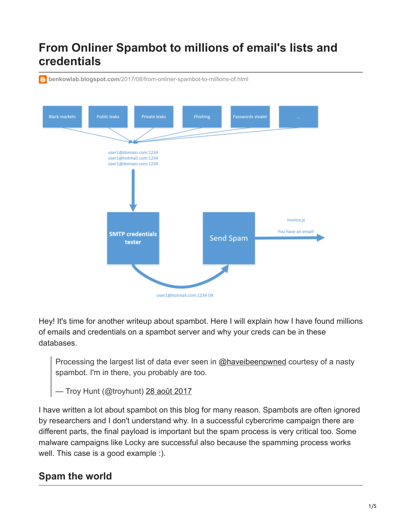# **From Onliner Spambot to millions of email's lists and credentials**

**benkowlab.blogspot.com**[/2017/08/from-onliner-spambot-to-millions-of.html](https://benkowlab.blogspot.com/2017/08/from-onliner-spambot-to-millions-of.html)



Hey! It's time for another writeup about spambot. Here I will explain how I have found millions of emails and credentials on a spambot server and why your creds can be in these databases.

Processing the largest list of data ever seen in [@haveibeenpwned](https://twitter.com/haveibeenpwned) courtesy of a nasty spambot. I'm in there, you probably are too.

— Troy Hunt (@troyhunt) [28 août 2017](https://twitter.com/troyhunt/status/902084044220809216)

I have written a lot about spambot on this blog for many reason. Spambots are often ignored by researchers and I don't understand why. In a successful cybercrime campaign there are different parts, the final payload is important but the spam process is very critical too. Some malware campaigns like Locky are successful also because the spamming process works well. This case is a good example :).

## **Spam the world**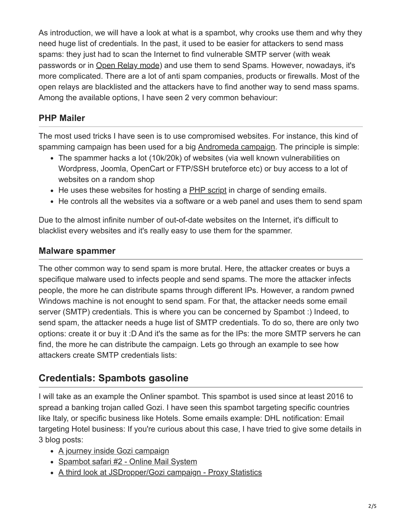As introduction, we will have a look at what is a spambot, why crooks use them and why they need huge list of credentials. In the past, it used to be easier for attackers to send mass spams: they just had to scan the Internet to find vulnerable SMTP server (with weak passwords or in [Open Relay mode](https://www.spamhaus.org/news/article/706/the-return-of-the-open-relays)) and use them to send Spams. However, nowadays, it's more complicated. There are a lot of anti spam companies, products or firewalls. Most of the open relays are blacklisted and the attackers have to find another way to send mass spams. Among the available options, I have seen 2 very common behaviour:

#### **PHP Mailer**

The most used tricks I have seen is to use compromised websites. For instance, this kind of spamming campaign has been used for a big [Andromeda campaign](https://thisissecurity.stormshield.com/2016/04/12/gamarue-loves-malicious-javascript-too/). The principle is simple:

- The spammer hacks a lot (10k/20k) of websites (via well known vulnerabilities on Wordpress, Joomla, OpenCart or FTP/SSH bruteforce etc) or buy access to a lot of websites on a random shop
- He uses these websites for hosting a **PHP** script in charge of sending emails.
- He controls all the websites via a software or a web panel and uses them to send spam

Due to the almost infinite number of out-of-date websites on the Internet, it's difficult to blacklist every websites and it's really easy to use them for the spammer.

#### **Malware spammer**

The other common way to send spam is more brutal. Here, the attacker creates or buys a specifique malware used to infects people and send spams. The more the attacker infects people, the more he can distribute spams through different IPs. However, a random pwned Windows machine is not enought to send spam. For that, the attacker needs some email server (SMTP) credentials. This is where you can be concerned by Spambot :) Indeed, to send spam, the attacker needs a huge list of SMTP credentials. To do so, there are only two options: create it or buy it :D And it's the same as for the IPs: the more SMTP servers he can find, the more he can distribute the campaign. Lets go through an example to see how attackers create SMTP credentials lists:

### **Credentials: Spambots gasoline**

I will take as an example the Onliner spambot. This spambot is used since at least 2016 to spread a banking trojan called Gozi. I have seen this spambot targeting specific countries like Italy, or specific business like Hotels. Some emails example: DHL notification: Email targeting Hotel business: If you're curious about this case, I have tried to give some details in 3 blog posts:

- [A journey inside Gozi campaign](https://benkowlab.blogspot.fr/2017/01/a-journey-inside-ursnif-campaign.html)
- [Spambot safari #2 Online Mail System](https://benkowlab.blogspot.fr/2017/02/spambot-safari-2-online-mail-system.html)
- [A third look at JSDropper/Gozi campaign Proxy Statistics](https://benkowlab.blogspot.fr/2017/08/a-third-look-in-jsdropperursnif.html)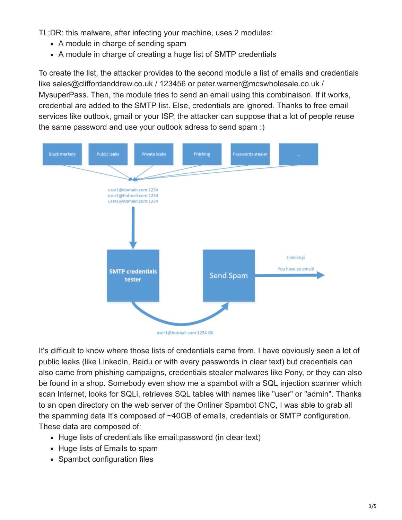TL;DR: this malware, after infecting your machine, uses 2 modules:

- A module in charge of sending spam
- A module in charge of creating a huge list of SMTP credentials

To create the list, the attacker provides to the second module a list of emails and credentials like sales@cliffordanddrew.co.uk / 123456 or peter.warner@mcswholesale.co.uk / MysuperPass. Then, the module tries to send an email using this combinaison. If it works, credential are added to the SMTP list. Else, credentials are ignored. Thanks to free email services like outlook, gmail or your ISP, the attacker can suppose that a lot of people reuse the same password and use your outlook adress to send spam :)



It's difficult to know where those lists of credentials came from. I have obviously seen a lot of public leaks (like Linkedin, Baidu or with every passwords in clear text) but credentials can also came from phishing campaigns, credentials stealer malwares like Pony, or they can also be found in a shop. Somebody even show me a spambot with a SQL injection scanner which scan Internet, looks for SQLi, retrieves SQL tables with names like "user" or "admin". Thanks to an open directory on the web server of the Onliner Spambot CNC, I was able to grab all the spamming data It's composed of ~40GB of emails, credentials or SMTP configuration. These data are composed of:

- Huge lists of credentials like email: password (in clear text)
- Huge lists of Emails to spam
- Spambot configuration files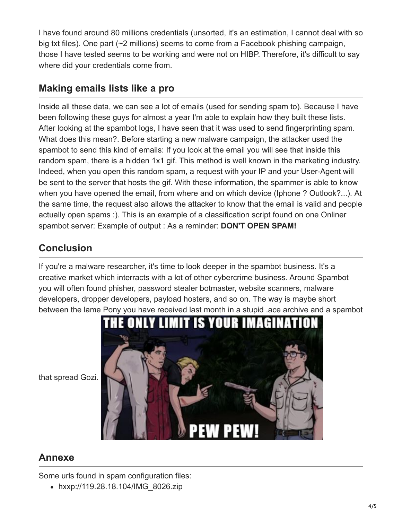I have found around 80 millions credentials (unsorted, it's an estimation, I cannot deal with so big txt files). One part (~2 millions) seems to come from a Facebook phishing campaign, those I have tested seems to be working and were not on HIBP. Therefore, it's difficult to say where did your credentials come from.

## **Making emails lists like a pro**

Inside all these data, we can see a lot of emails (used for sending spam to). Because I have been following these guys for almost a year I'm able to explain how they built these lists. After looking at the spambot logs, I have seen that it was used to send fingerprinting spam. What does this mean?. Before starting a new malware campaign, the attacker used the spambot to send this kind of emails: If you look at the email you will see that inside this random spam, there is a hidden 1x1 gif. This method is well known in the marketing industry. Indeed, when you open this random spam, a request with your IP and your User-Agent will be sent to the server that hosts the gif. With these information, the spammer is able to know when you have opened the email, from where and on which device (Iphone ? Outlook?...). At the same time, the request also allows the attacker to know that the email is valid and people actually open spams :). This is an example of a classification script found on one Onliner spambot server: Example of output : As a reminder: **DON'T OPEN SPAM!**

## **Conclusion**

If you're a malware researcher, it's time to look deeper in the spambot business. It's a creative market which interracts with a lot of other cybercrime business. Around Spambot you will often found phisher, password stealer botmaster, website scanners, malware developers, dropper developers, payload hosters, and so on. The way is maybe short between the lame Pony you have received last month in a stupid .ace archive and a spambot



that spread Gozi.

### **Annexe**

Some urls found in spam configuration files:

• hxxp://119.28.18.104/IMG\_8026.zip